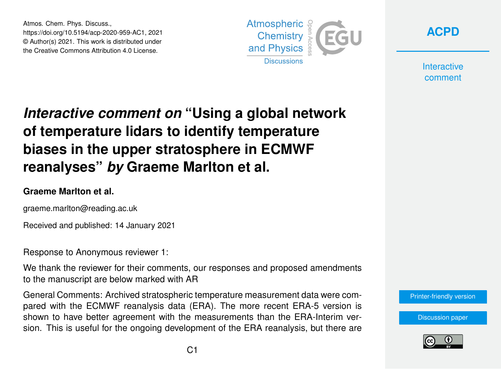Atmos. Chem. Phys. Discuss., https://doi.org/10.5194/acp-2020-959-AC1, 2021 © Author(s) 2021. This work is distributed under the Creative Commons Attribution 4.0 License.





**Interactive** comment

## *Interactive comment on* **"Using a global network of temperature lidars to identify temperature biases in the upper stratosphere in ECMWF reanalyses"** *by* **Graeme Marlton et al.**

## **Graeme Marlton et al.**

graeme.marlton@reading.ac.uk

Received and published: 14 January 2021

Response to Anonymous reviewer 1:

We thank the reviewer for their comments, our responses and proposed amendments to the manuscript are below marked with AR

General Comments: Archived stratospheric temperature measurement data were compared with the ECMWF reanalysis data (ERA). The more recent ERA-5 version is shown to have better agreement with the measurements than the ERA-Interim version. This is useful for the ongoing development of the ERA reanalysis, but there are

[Printer-friendly version](https://acp.copernicus.org/preprints/acp-2020-959/acp-2020-959-AC1-print.pdf)

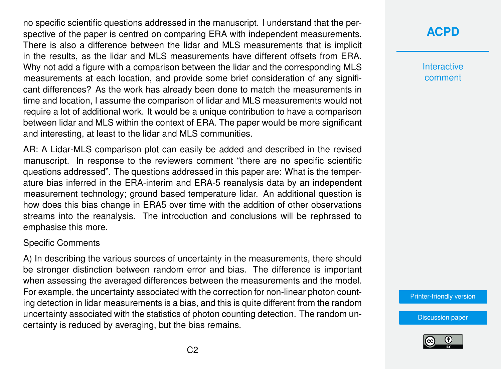no specific scientific questions addressed in the manuscript. I understand that the perspective of the paper is centred on comparing ERA with independent measurements. There is also a difference between the lidar and MLS measurements that is implicit in the results, as the lidar and MLS measurements have different offsets from ERA. Why not add a figure with a comparison between the lidar and the corresponding MLS measurements at each location, and provide some brief consideration of any significant differences? As the work has already been done to match the measurements in time and location, I assume the comparison of lidar and MLS measurements would not require a lot of additional work. It would be a unique contribution to have a comparison between lidar and MLS within the context of ERA. The paper would be more significant and interesting, at least to the lidar and MLS communities.

AR: A Lidar-MLS comparison plot can easily be added and described in the revised manuscript. In response to the reviewers comment "there are no specific scientific questions addressed". The questions addressed in this paper are: What is the temperature bias inferred in the ERA-interim and ERA-5 reanalysis data by an independent measurement technology; ground based temperature lidar. An additional question is how does this bias change in ERA5 over time with the addition of other observations streams into the reanalysis. The introduction and conclusions will be rephrased to emphasise this more.

## Specific Comments

A) In describing the various sources of uncertainty in the measurements, there should be stronger distinction between random error and bias. The difference is important when assessing the averaged differences between the measurements and the model. For example, the uncertainty associated with the correction for non-linear photon counting detection in lidar measurements is a bias, and this is quite different from the random uncertainty associated with the statistics of photon counting detection. The random uncertainty is reduced by averaging, but the bias remains.

**[ACPD](https://acp.copernicus.org/preprints/)**

**Interactive** comment

[Printer-friendly version](https://acp.copernicus.org/preprints/acp-2020-959/acp-2020-959-AC1-print.pdf)

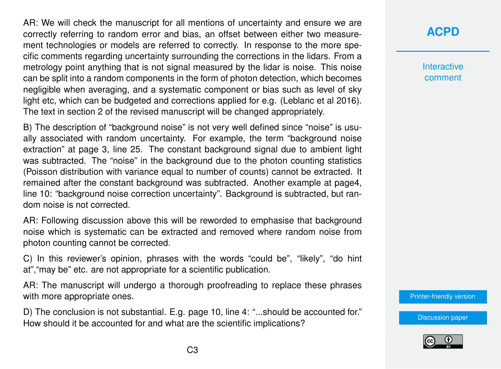AR: We will check the manuscript for all mentions of uncertainty and ensure we are correctly referring to random error and bias, an offset between either two measurement technologies or models are referred to correctly. In response to the more specific comments regarding uncertainty surrounding the corrections in the lidars. From a metrology point anything that is not signal measured by the lidar is noise. This noise can be split into a random components in the form of photon detection, which becomes negligible when averaging, and a systematic component or bias such as level of sky light etc, which can be budgeted and corrections applied for e.g. (Leblanc et al 2016). The text in section 2 of the revised manuscript will be changed appropriately.

B) The description of "background noise" is not very well defined since "noise" is usually associated with random uncertainty. For example, the term "background noise extraction" at page 3, line 25. The constant background signal due to ambient light was subtracted. The "noise" in the background due to the photon counting statistics (Poisson distribution with variance equal to number of counts) cannot be extracted. It remained after the constant background was subtracted. Another example at page4, line 10: "background noise correction uncertainty". Background is subtracted, but random noise is not corrected.

AR: Following discussion above this will be reworded to emphasise that background noise which is systematic can be extracted and removed where random noise from photon counting cannot be corrected.

C) In this reviewer's opinion, phrases with the words "could be", "likely", "do hint at","may be" etc. are not appropriate for a scientific publication.

AR: The manuscript will undergo a thorough proofreading to replace these phrases with more appropriate ones.

D) The conclusion is not substantial. E.g. page 10, line 4: "...should be accounted for." How should it be accounted for and what are the scientific implications?

**Interactive** comment

[Printer-friendly version](https://acp.copernicus.org/preprints/acp-2020-959/acp-2020-959-AC1-print.pdf)